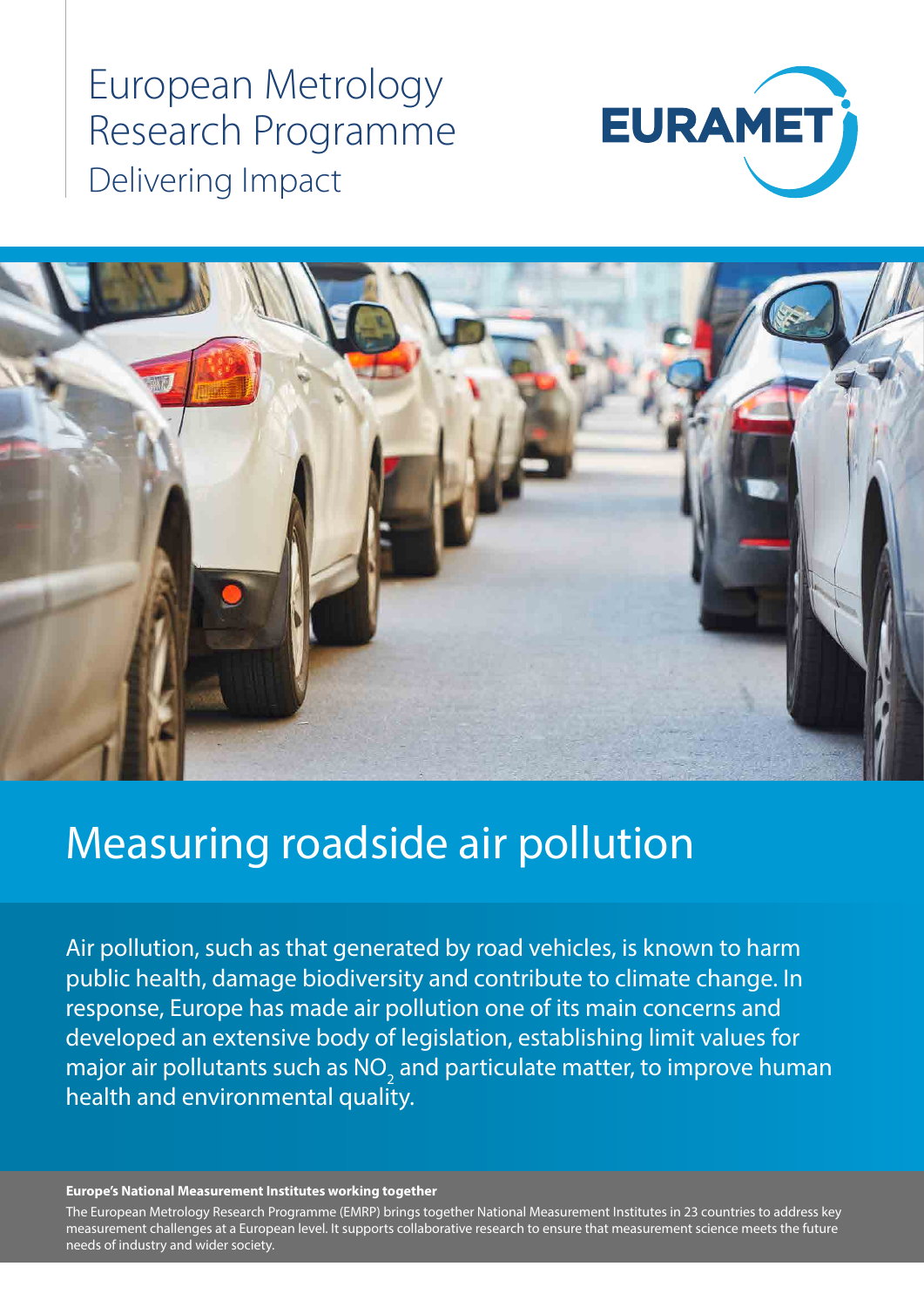European Metrology Research Programme Delivering Impact





# Measuring roadside air pollution

Air pollution, such as that generated by road vehicles, is known to harm public health, damage biodiversity and contribute to climate change. In response, Europe has made air pollution one of its main concerns and developed an extensive body of legislation, establishing limit values for major air pollutants such as  $\mathsf{NO}_2^{}$  and particulate matter, to improve human health and environmental quality.

#### **Europe's National Measurement Institutes working together**

The European Metrology Research Programme (EMRP) brings together National Measurement Institutes in 23 countries to address key measurement challenges at a European level. It supports collaborative research to ensure that measurement science meets the future needs of industry and wider society.